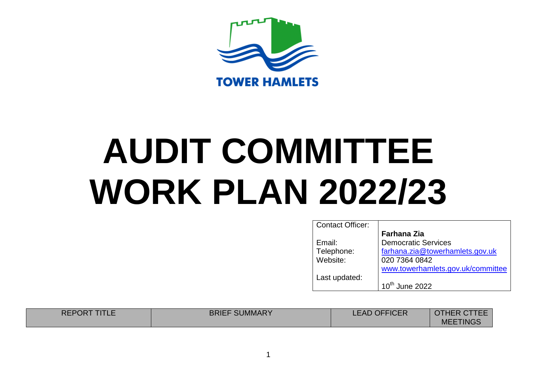

| <b>Contact Officer:</b> |                                   |
|-------------------------|-----------------------------------|
|                         | <b>Farhana Zia</b>                |
| Email:                  | <b>Democratic Services</b>        |
| Telephone:              | farhana.zia@towerhamlets.gov.uk   |
| Website:                | 020 7364 0842                     |
|                         | www.towerhamlets.gov.uk/committee |
| Last updated:           |                                   |
|                         | 10 <sup>th</sup> June 2022        |

| <b>REPORT</b><br>IIILE | <b>BRIEF SUMMARY</b> | <b>LEAD OFFICER</b> | <b>OTHER CTTEE</b> |
|------------------------|----------------------|---------------------|--------------------|
|                        |                      |                     | <b>MEETINGS</b>    |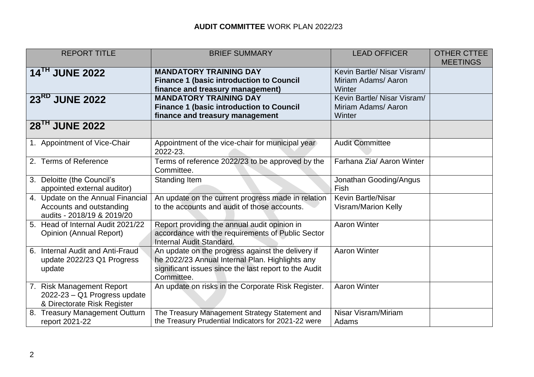| <b>REPORT TITLE</b>                              | <b>BRIEF SUMMARY</b>                                                                                  | <b>LEAD OFFICER</b>         | <b>OTHER CTTEE</b> |
|--------------------------------------------------|-------------------------------------------------------------------------------------------------------|-----------------------------|--------------------|
|                                                  |                                                                                                       |                             | <b>MEETINGS</b>    |
| 14 <sup>TH</sup> JUNE 2022                       | <b>MANDATORY TRAINING DAY</b>                                                                         | Kevin Bartle/ Nisar Visram/ |                    |
|                                                  | <b>Finance 1 (basic introduction to Council</b>                                                       | Miriam Adams/ Aaron         |                    |
|                                                  | finance and treasury management)                                                                      | Winter                      |                    |
| 23RD JUNE 2022                                   | <b>MANDATORY TRAINING DAY</b>                                                                         | Kevin Bartle/ Nisar Visram/ |                    |
|                                                  | <b>Finance 1 (basic introduction to Council</b>                                                       | Miriam Adams/ Aaron         |                    |
|                                                  | finance and treasury management                                                                       | Winter                      |                    |
| 28 <sup>TH</sup> JUNE 2022                       |                                                                                                       |                             |                    |
| 1. Appointment of Vice-Chair                     | Appointment of the vice-chair for municipal year<br>2022-23.                                          | <b>Audit Committee</b>      |                    |
| 2. Terms of Reference                            | Terms of reference 2022/23 to be approved by the                                                      | Farhana Zia/ Aaron Winter   |                    |
|                                                  | Committee.                                                                                            |                             |                    |
| 3. Deloitte (the Council's                       | Standing Item                                                                                         | Jonathan Gooding/Angus      |                    |
| appointed external auditor)                      |                                                                                                       | Fish                        |                    |
| 4. Update on the Annual Financial                | An update on the current progress made in relation                                                    | <b>Kevin Bartle/Nisar</b>   |                    |
| Accounts and outstanding                         | to the accounts and audit of those accounts.                                                          | <b>Visram/Marion Kelly</b>  |                    |
| audits - 2018/19 & 2019/20                       |                                                                                                       |                             |                    |
| 5. Head of Internal Audit 2021/22                | Report providing the annual audit opinion in                                                          | <b>Aaron Winter</b>         |                    |
| Opinion (Annual Report)                          | accordance with the requirements of Public Sector                                                     |                             |                    |
|                                                  | Internal Audit Standard.                                                                              |                             |                    |
| 6. Internal Audit and Anti-Fraud                 | An update on the progress against the delivery if                                                     | <b>Aaron Winter</b>         |                    |
| update 2022/23 Q1 Progress                       | he 2022/23 Annual Internal Plan. Highlights any                                                       |                             |                    |
| update                                           | significant issues since the last report to the Audit                                                 |                             |                    |
|                                                  | Committee.                                                                                            |                             |                    |
| 7. Risk Management Report                        | An update on risks in the Corporate Risk Register.                                                    | <b>Aaron Winter</b>         |                    |
| 2022-23 - Q1 Progress update                     |                                                                                                       |                             |                    |
| & Directorate Risk Register                      |                                                                                                       | Nisar Visram/Miriam         |                    |
| 8. Treasury Management Outturn<br>report 2021-22 | The Treasury Management Strategy Statement and<br>the Treasury Prudential Indicators for 2021-22 were | Adams                       |                    |
|                                                  |                                                                                                       |                             |                    |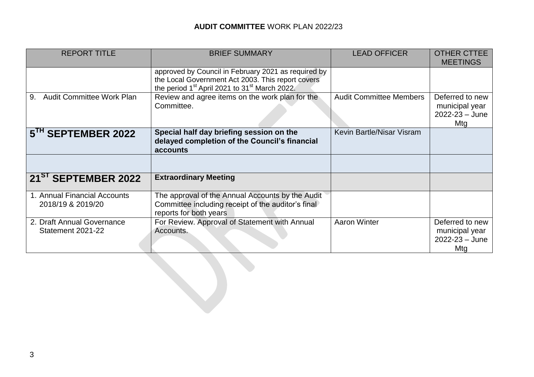| <b>REPORT TITLE</b>                               | <b>BRIEF SUMMARY</b>                                                                                                                                                              | <b>LEAD OFFICER</b>            | <b>OTHER CTTEE</b><br><b>MEETINGS</b>                          |
|---------------------------------------------------|-----------------------------------------------------------------------------------------------------------------------------------------------------------------------------------|--------------------------------|----------------------------------------------------------------|
|                                                   | approved by Council in February 2021 as required by<br>the Local Government Act 2003. This report covers<br>the period 1 <sup>st</sup> April 2021 to 31 <sup>st</sup> March 2022. |                                |                                                                |
| <b>Audit Committee Work Plan</b><br>9.            | Review and agree items on the work plan for the<br>Committee.                                                                                                                     | <b>Audit Committee Members</b> | Deferred to new<br>municipal year<br>$2022 - 23 - June$<br>Mtg |
| 5 <sup>TH</sup> SEPTEMBER 2022                    | Special half day briefing session on the<br>delayed completion of the Council's financial<br>accounts                                                                             | Kevin Bartle/Nisar Visram      |                                                                |
|                                                   |                                                                                                                                                                                   |                                |                                                                |
| 21 <sup>ST</sup> SEPTEMBER 2022                   | <b>Extraordinary Meeting</b>                                                                                                                                                      |                                |                                                                |
| 1. Annual Financial Accounts<br>2018/19 & 2019/20 | The approval of the Annual Accounts by the Audit<br>Committee including receipt of the auditor's final<br>reports for both years                                                  |                                |                                                                |
| 2. Draft Annual Governance<br>Statement 2021-22   | For Review. Approval of Statement with Annual<br>Accounts.                                                                                                                        | <b>Aaron Winter</b>            | Deferred to new<br>municipal year<br>$2022 - 23 - June$<br>Mtg |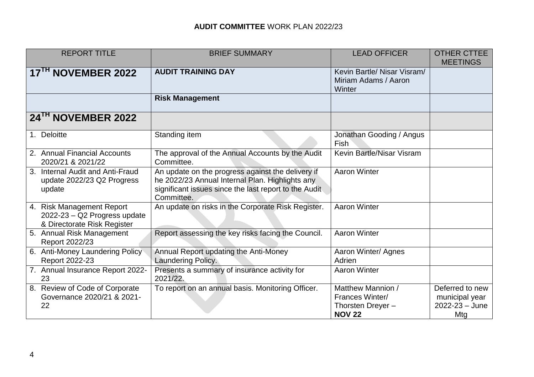| <b>REPORT TITLE</b>                                                                      | <b>BRIEF SUMMARY</b>                                                                                                                                                        | <b>LEAD OFFICER</b>                                                               | <b>OTHER CTTEE</b><br><b>MEETINGS</b>                          |
|------------------------------------------------------------------------------------------|-----------------------------------------------------------------------------------------------------------------------------------------------------------------------------|-----------------------------------------------------------------------------------|----------------------------------------------------------------|
| 17 <sup>TH</sup> NOVEMBER 2022                                                           | <b>AUDIT TRAINING DAY</b>                                                                                                                                                   | Kevin Bartle/ Nisar Visram/<br>Miriam Adams / Aaron<br>Winter                     |                                                                |
|                                                                                          | <b>Risk Management</b>                                                                                                                                                      |                                                                                   |                                                                |
| 24TH NOVEMBER 2022                                                                       |                                                                                                                                                                             |                                                                                   |                                                                |
| 1. Deloitte                                                                              | Standing item                                                                                                                                                               | Jonathan Gooding / Angus<br>Fish                                                  |                                                                |
| 2. Annual Financial Accounts<br>2020/21 & 2021/22                                        | The approval of the Annual Accounts by the Audit<br>Committee.                                                                                                              | Kevin Bartle/Nisar Visram                                                         |                                                                |
| 3. Internal Audit and Anti-Fraud<br>update 2022/23 Q2 Progress<br>update                 | An update on the progress against the delivery if<br>he 2022/23 Annual Internal Plan. Highlights any<br>significant issues since the last report to the Audit<br>Committee. | <b>Aaron Winter</b>                                                               |                                                                |
| 4. Risk Management Report<br>2022-23 - Q2 Progress update<br>& Directorate Risk Register | An update on risks in the Corporate Risk Register.                                                                                                                          | <b>Aaron Winter</b>                                                               |                                                                |
| 5. Annual Risk Management<br>Report 2022/23                                              | Report assessing the key risks facing the Council.                                                                                                                          | <b>Aaron Winter</b>                                                               |                                                                |
| 6. Anti-Money Laundering Policy<br>Report 2022-23                                        | Annual Report updating the Anti-Money<br>Laundering Policy.                                                                                                                 | Aaron Winter/ Agnes<br>Adrien                                                     |                                                                |
| 7. Annual Insurance Report 2022-<br>23                                                   | Presents a summary of insurance activity for<br>2021/22.                                                                                                                    | <b>Aaron Winter</b>                                                               |                                                                |
| 8. Review of Code of Corporate<br>Governance 2020/21 & 2021-<br>22                       | To report on an annual basis. Monitoring Officer.                                                                                                                           | Matthew Mannion /<br><b>Frances Winter/</b><br>Thorsten Dreyer -<br><b>NOV 22</b> | Deferred to new<br>municipal year<br>$2022 - 23 - June$<br>Mtg |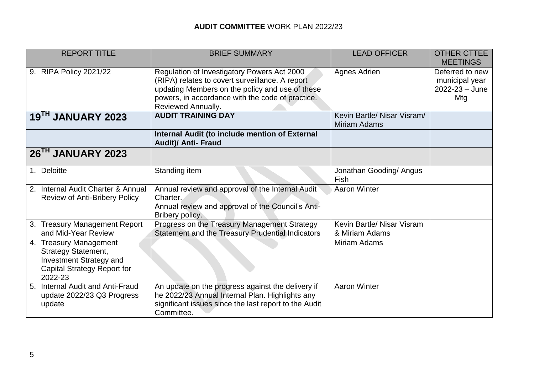| <b>REPORT TITLE</b>                                                                                                                     | <b>BRIEF SUMMARY</b>                                                                                                                                                                                                        | <b>LEAD OFFICER</b>                                | <b>OTHER CTTEE</b><br><b>MEETINGS</b>                          |
|-----------------------------------------------------------------------------------------------------------------------------------------|-----------------------------------------------------------------------------------------------------------------------------------------------------------------------------------------------------------------------------|----------------------------------------------------|----------------------------------------------------------------|
| 9. RIPA Policy 2021/22                                                                                                                  | Regulation of Investigatory Powers Act 2000<br>(RIPA) relates to covert surveillance. A report<br>updating Members on the policy and use of these<br>powers, in accordance with the code of practice.<br>Reviewed Annually. | Agnes Adrien                                       | Deferred to new<br>municipal year<br>$2022 - 23 - June$<br>Mtg |
| 19 <sup>TH</sup> JANUARY 2023                                                                                                           | <b>AUDIT TRAINING DAY</b>                                                                                                                                                                                                   | Kevin Bartle/ Nisar Visram/<br><b>Miriam Adams</b> |                                                                |
|                                                                                                                                         | Internal Audit (to include mention of External<br><b>Audit)/ Anti- Fraud</b>                                                                                                                                                |                                                    |                                                                |
| 26 <sup>TH</sup> JANUARY 2023                                                                                                           |                                                                                                                                                                                                                             |                                                    |                                                                |
| 1. Deloitte                                                                                                                             | Standing item                                                                                                                                                                                                               | Jonathan Gooding/ Angus<br>Fish                    |                                                                |
| Internal Audit Charter & Annual<br>2.<br><b>Review of Anti-Bribery Policy</b>                                                           | Annual review and approval of the Internal Audit<br>Charter.<br>Annual review and approval of the Council's Anti-<br>Bribery policy.                                                                                        | <b>Aaron Winter</b>                                |                                                                |
| 3. Treasury Management Report<br>and Mid-Year Review                                                                                    | Progress on the Treasury Management Strategy<br>Statement and the Treasury Prudential Indicators                                                                                                                            | Kevin Bartle/ Nisar Visram<br>& Miriam Adams       |                                                                |
| 4. Treasury Management<br><b>Strategy Statement,</b><br><b>Investment Strategy and</b><br><b>Capital Strategy Report for</b><br>2022-23 |                                                                                                                                                                                                                             | <b>Miriam Adams</b>                                |                                                                |
| Internal Audit and Anti-Fraud<br>5 <sub>1</sub><br>update 2022/23 Q3 Progress<br>update                                                 | An update on the progress against the delivery if<br>he 2022/23 Annual Internal Plan. Highlights any<br>significant issues since the last report to the Audit<br>Committee.                                                 | <b>Aaron Winter</b>                                |                                                                |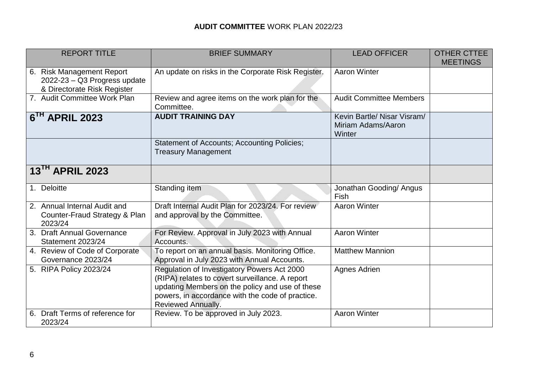| <b>REPORT TITLE</b>                                                                      | <b>BRIEF SUMMARY</b>                                                                                                                                                                                                               | <b>LEAD OFFICER</b>                                         | <b>OTHER CTTEE</b><br><b>MEETINGS</b> |
|------------------------------------------------------------------------------------------|------------------------------------------------------------------------------------------------------------------------------------------------------------------------------------------------------------------------------------|-------------------------------------------------------------|---------------------------------------|
| 6. Risk Management Report<br>2022-23 - Q3 Progress update<br>& Directorate Risk Register | An update on risks in the Corporate Risk Register.                                                                                                                                                                                 | <b>Aaron Winter</b>                                         |                                       |
| 7. Audit Committee Work Plan                                                             | Review and agree items on the work plan for the<br>Committee.                                                                                                                                                                      | <b>Audit Committee Members</b>                              |                                       |
| $6TH$ APRIL 2023                                                                         | <b>AUDIT TRAINING DAY</b>                                                                                                                                                                                                          | Kevin Bartle/ Nisar Visram/<br>Miriam Adams/Aaron<br>Winter |                                       |
|                                                                                          | <b>Statement of Accounts; Accounting Policies;</b><br><b>Treasury Management</b>                                                                                                                                                   |                                                             |                                       |
| 13 <sup>TH</sup> APRIL 2023                                                              |                                                                                                                                                                                                                                    |                                                             |                                       |
| 1. Deloitte                                                                              | Standing item                                                                                                                                                                                                                      | Jonathan Gooding/ Angus<br>Fish                             |                                       |
| 2. Annual Internal Audit and<br>Counter-Fraud Strategy & Plan<br>2023/24                 | Draft Internal Audit Plan for 2023/24. For review<br>and approval by the Committee.                                                                                                                                                | <b>Aaron Winter</b>                                         |                                       |
| 3. Draft Annual Governance<br>Statement 2023/24                                          | For Review. Approval in July 2023 with Annual<br>Accounts.                                                                                                                                                                         | <b>Aaron Winter</b>                                         |                                       |
| 4. Review of Code of Corporate<br>Governance 2023/24                                     | To report on an annual basis. Monitoring Office.<br>Approval in July 2023 with Annual Accounts.                                                                                                                                    | <b>Matthew Mannion</b>                                      |                                       |
| 5. RIPA Policy 2023/24                                                                   | Regulation of Investigatory Powers Act 2000<br>(RIPA) relates to covert surveillance. A report<br>updating Members on the policy and use of these<br>powers, in accordance with the code of practice.<br><b>Reviewed Annually.</b> | Agnes Adrien                                                |                                       |
| Draft Terms of reference for<br>6.<br>2023/24                                            | Review. To be approved in July 2023.                                                                                                                                                                                               | <b>Aaron Winter</b>                                         |                                       |